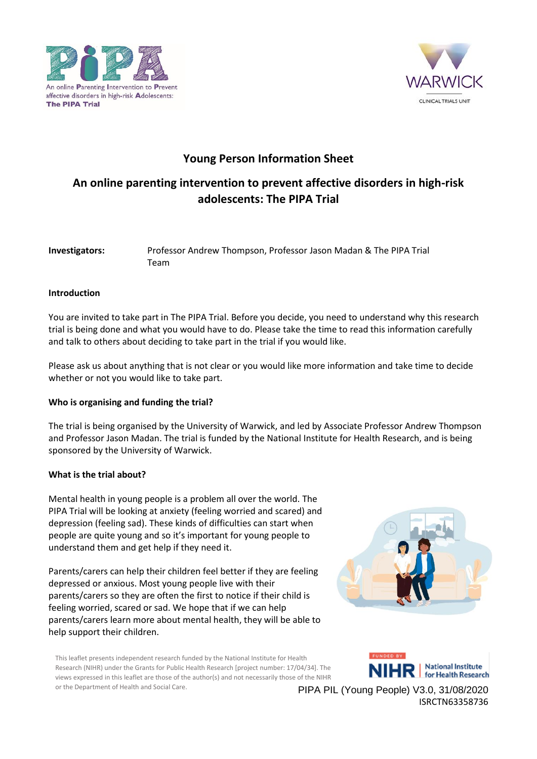



## **Young Person Information Sheet**

# **An online parenting intervention to prevent affective disorders in high-risk adolescents: The PIPA Trial**

| Investigators: | Professor Andrew Thompson, Professor Jason Madan & The PIPA Trial |
|----------------|-------------------------------------------------------------------|
|                | Team                                                              |

## **Introduction**

You are invited to take part in The PIPA Trial. Before you decide, you need to understand why this research trial is being done and what you would have to do. Please take the time to read this information carefully and talk to others about deciding to take part in the trial if you would like.

Please ask us about anything that is not clear or you would like more information and take time to decide whether or not you would like to take part.

## **Who is organising and funding the trial?**

The trial is being organised by the University of Warwick, and led by Associate Professor Andrew Thompson and Professor Jason Madan. The trial is funded by the National Institute for Health Research, and is being sponsored by the University of Warwick.

## **What is the trial about?**

Mental health in young people is a problem all over the world. The PIPA Trial will be looking at anxiety (feeling worried and scared) and depression (feeling sad). These kinds of difficulties can start when people are quite young and so it's important for young people to understand them and get help if they need it.

Parents/carers can help their children feel better if they are feeling depressed or anxious. Most young people live with their parents/carers so they are often the first to notice if their child is feeling worried, scared or sad. We hope that if we can help parents/carers learn more about mental health, they will be able to help support their children.



This leaflet presents independent research funded by the National Institute for Health Research (NIHR) under the Grants for Public Health Research [project number: 17/04/34]. The views expressed in this leaflet are those of the author(s) and not necessarily those of the NIHR or the Department of Health and Social Care.

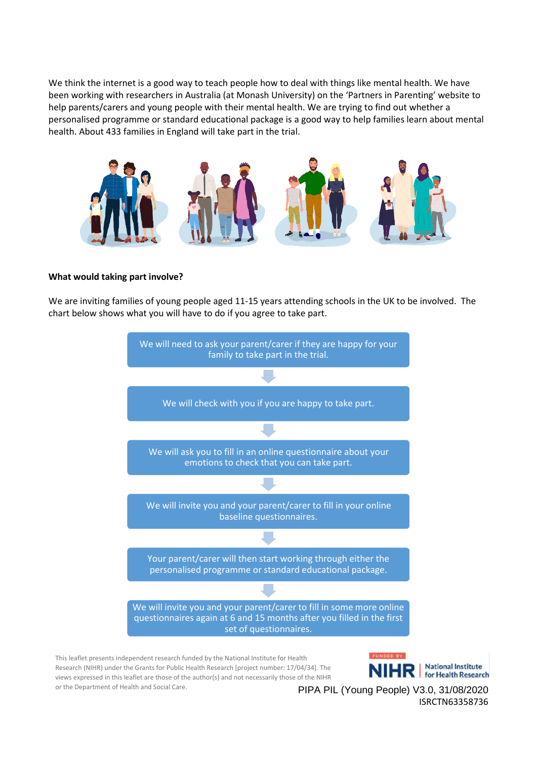We think the internet is a good way to teach people how to deal with things like mental health. We have been working with researchers in Australia (at Monash University) on the 'Partners in Parenting' website to help parents/carers and young people with their mental health. We are trying to find out whether a personalised programme or standard educational package is a good way to help families learn about mental health. About 433 families in England will take part in the trial.



#### **What would taking part involve?**

We are inviting families of young people aged 11-15 years attending schools in the UK to be involved. The chart below shows what you will have to do if you agree to take part.



This leaflet presents independent research funded by the National Institute for Health Research (NIHR) under the Grants for Public Health Research [project number: 17/04/34]. The views expressed in this leaflet are those of the author(s) and not necessarily those of the NIHR or the Department of Health and Social Care.

**National Institute** National Institute<br>for Health Research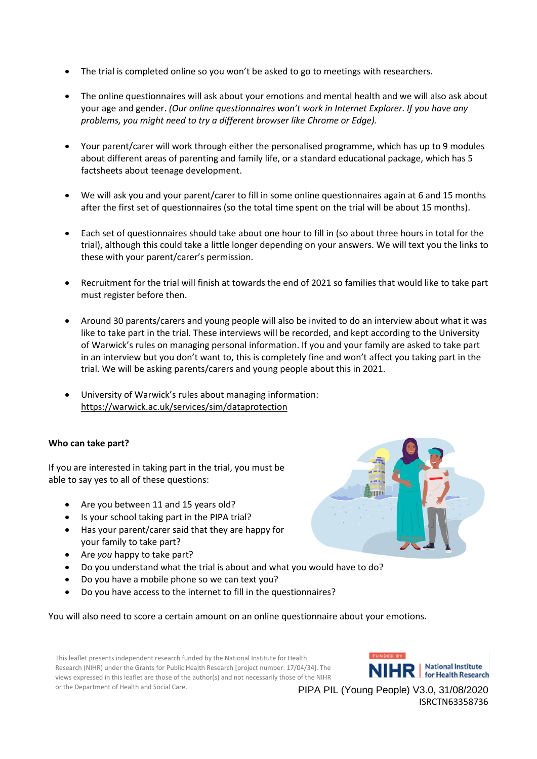- The trial is completed online so you won't be asked to go to meetings with researchers.
- The online questionnaires will ask about your emotions and mental health and we will also ask about your age and gender. *(Our online questionnaires won't work in Internet Explorer. If you have any problems, you might need to try a different browser like Chrome or Edge).*
- Your parent/carer will work through either the personalised programme, which has up to 9 modules about different areas of parenting and family life, or a standard educational package, which has 5 factsheets about teenage development.
- We will ask you and your parent/carer to fill in some online questionnaires again at 6 and 15 months after the first set of questionnaires (so the total time spent on the trial will be about 15 months).
- Each set of questionnaires should take about one hour to fill in (so about three hours in total for the trial), although this could take a little longer depending on your answers. We will text you the links to these with your parent/carer's permission.
- Recruitment for the trial will finish at towards the end of 2021 so families that would like to take part must register before then.
- Around 30 parents/carers and young people will also be invited to do an interview about what it was like to take part in the trial. These interviews will be recorded, and kept according to the University of Warwick's rules on managing personal information. If you and your family are asked to take part in an interview but you don't want to, this is completely fine and won't affect you taking part in the trial. We will be asking parents/carers and young people about this in 2021.
- University of Warwick's rules about managing information: <https://warwick.ac.uk/services/sim/dataprotection>

#### **Who can take part?**

If you are interested in taking part in the trial, you must be able to say yes to all of these questions:

- Are you between 11 and 15 years old?
- Is your school taking part in the PIPA trial?
- Has your parent/carer said that they are happy for your family to take part?
- Are *you* happy to take part?
- Do you understand what the trial is about and what you would have to do?
- Do you have a mobile phone so we can text you?
- Do you have access to the internet to fill in the questionnaires?

You will also need to score a certain amount on an online questionnaire about your emotions.

This leaflet presents independent research funded by the National Institute for Health Research (NIHR) under the Grants for Public Health Research [project number: 17/04/34]. The views expressed in this leaflet are those of the author(s) and not necessarily those of the NIHR or the Department of Health and Social Care.

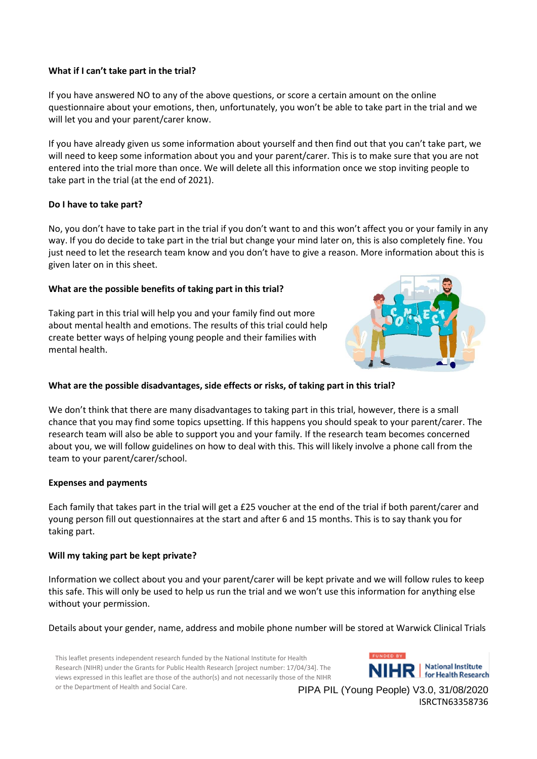## **What if I can't take part in the trial?**

If you have answered NO to any of the above questions, or score a certain amount on the online questionnaire about your emotions, then, unfortunately, you won't be able to take part in the trial and we will let you and your parent/carer know.

If you have already given us some information about yourself and then find out that you can't take part, we will need to keep some information about you and your parent/carer. This is to make sure that you are not entered into the trial more than once. We will delete all this information once we stop inviting people to take part in the trial (at the end of 2021).

## **Do I have to take part?**

No, you don't have to take part in the trial if you don't want to and this won't affect you or your family in any way. If you do decide to take part in the trial but change your mind later on, this is also completely fine. You just need to let the research team know and you don't have to give a reason. More information about this is given later on in this sheet.

## **What are the possible benefits of taking part in this trial?**

Taking part in this trial will help you and your family find out more about mental health and emotions. The results of this trial could help create better ways of helping young people and their families with mental health.



## **What are the possible disadvantages, side effects or risks, of taking part in this trial?**

We don't think that there are many disadvantages to taking part in this trial, however, there is a small chance that you may find some topics upsetting. If this happens you should speak to your parent/carer. The research team will also be able to support you and your family. If the research team becomes concerned about you, we will follow guidelines on how to deal with this. This will likely involve a phone call from the team to your parent/carer/school.

#### **Expenses and payments**

Each family that takes part in the trial will get a £25 voucher at the end of the trial if both parent/carer and young person fill out questionnaires at the start and after 6 and 15 months. This is to say thank you for taking part.

#### **Will my taking part be kept private?**

Information we collect about you and your parent/carer will be kept private and we will follow rules to keep this safe. This will only be used to help us run the trial and we won't use this information for anything else without your permission.

Details about your gender, name, address and mobile phone number will be stored at Warwick Clinical Trials

This leaflet presents independent research funded by the National Institute for Health Research (NIHR) under the Grants for Public Health Research [project number: 17/04/34]. The views expressed in this leaflet are those of the author(s) and not necessarily those of the NIHR or the Department of Health and Social Care.

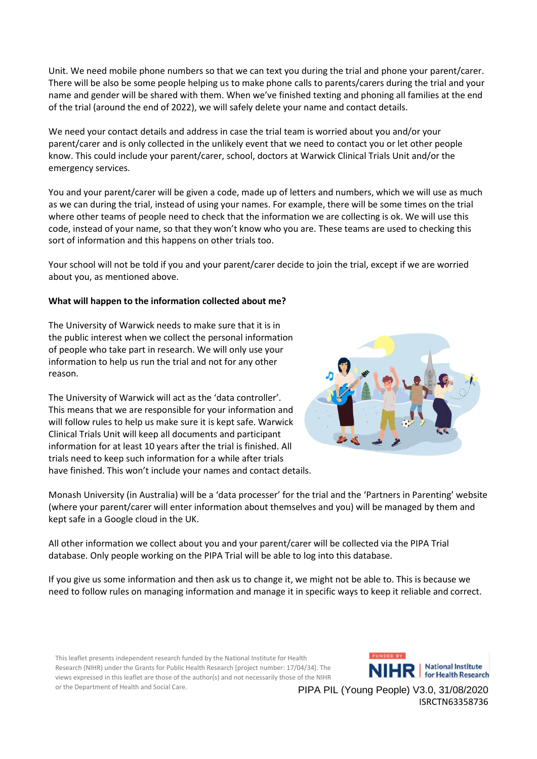Unit. We need mobile phone numbers so that we can text you during the trial and phone your parent/carer. There will be also be some people helping us to make phone calls to parents/carers during the trial and your name and gender will be shared with them. When we've finished texting and phoning all families at the end of the trial (around the end of 2022), we will safely delete your name and contact details.

We need your contact details and address in case the trial team is worried about you and/or your parent/carer and is only collected in the unlikely event that we need to contact you or let other people know. This could include your parent/carer, school, doctors at Warwick Clinical Trials Unit and/or the emergency services.

You and your parent/carer will be given a code, made up of letters and numbers, which we will use as much as we can during the trial, instead of using your names. For example, there will be some times on the trial where other teams of people need to check that the information we are collecting is ok. We will use this code, instead of your name, so that they won't know who you are. These teams are used to checking this sort of information and this happens on other trials too.

Your school will not be told if you and your parent/carer decide to join the trial, except if we are worried about you, as mentioned above.

#### **What will happen to the information collected about me?**

The University of Warwick needs to make sure that it is in the public interest when we collect the personal information of people who take part in research. We will only use your information to help us run the trial and not for any other reason.

The University of Warwick will act as the 'data controller'. This means that we are responsible for your information and will follow rules to help us make sure it is kept safe. Warwick Clinical Trials Unit will keep all documents and participant information for at least 10 years after the trial is finished. All trials need to keep such information for a while after trials have finished. This won't include your names and contact details.



Monash University (in Australia) will be a 'data processer' for the trial and the 'Partners in Parenting' website (where your parent/carer will enter information about themselves and you) will be managed by them and kept safe in a Google cloud in the UK.

All other information we collect about you and your parent/carer will be collected via the PIPA Trial database. Only people working on the PIPA Trial will be able to log into this database.

If you give us some information and then ask us to change it, we might not be able to. This is because we need to follow rules on managing information and manage it in specific ways to keep it reliable and correct.

This leaflet presents independent research funded by the National Institute for Health Research (NIHR) under the Grants for Public Health Research [project number: 17/04/34]. The views expressed in this leaflet are those of the author(s) and not necessarily those of the NIHR or the Department of Health and Social Care.

**FUNDED BY HR** | National Institute **National Institute**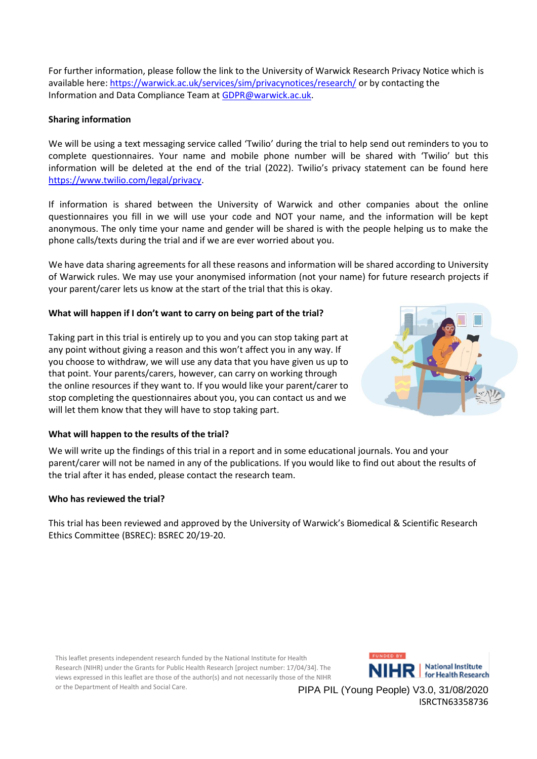For further information, please follow the link to the University of Warwick Research Privacy Notice which is available here:<https://warwick.ac.uk/services/sim/privacynotices/research/> or by contacting the Information and Data Compliance Team at [GDPR@warwick.ac.uk.](mailto:GDPR@warwick.ac.uk)

## **Sharing information**

We will be using a text messaging service called 'Twilio' during the trial to help send out reminders to you to complete questionnaires. Your name and mobile phone number will be shared with 'Twilio' but this information will be deleted at the end of the trial (2022). Twilio's privacy statement can be found here [https://www.twilio.com/legal/privacy.](https://www.twilio.com/legal/privacy)

If information is shared between the University of Warwick and other companies about the online questionnaires you fill in we will use your code and NOT your name, and the information will be kept anonymous. The only time your name and gender will be shared is with the people helping us to make the phone calls/texts during the trial and if we are ever worried about you.

We have data sharing agreements for all these reasons and information will be shared according to University of Warwick rules. We may use your anonymised information (not your name) for future research projects if your parent/carer lets us know at the start of the trial that this is okay.

## **What will happen if I don't want to carry on being part of the trial?**

Taking part in this trial is entirely up to you and you can stop taking part at any point without giving a reason and this won't affect you in any way. If you choose to withdraw, we will use any data that you have given us up to that point. Your parents/carers, however, can carry on working through the online resources if they want to. If you would like your parent/carer to stop completing the questionnaires about you, you can contact us and we will let them know that they will have to stop taking part.



#### **What will happen to the results of the trial?**

We will write up the findings of this trial in a report and in some educational journals. You and your parent/carer will not be named in any of the publications. If you would like to find out about the results of the trial after it has ended, please contact the research team.

#### **Who has reviewed the trial?**

This trial has been reviewed and approved by the University of Warwick's Biomedical & Scientific Research Ethics Committee (BSREC): BSREC 20/19-20.

This leaflet presents independent research funded by the National Institute for Health Research (NIHR) under the Grants for Public Health Research [project number: 17/04/34]. The views expressed in this leaflet are those of the author(s) and not necessarily those of the NIHR or the Department of Health and Social Care.